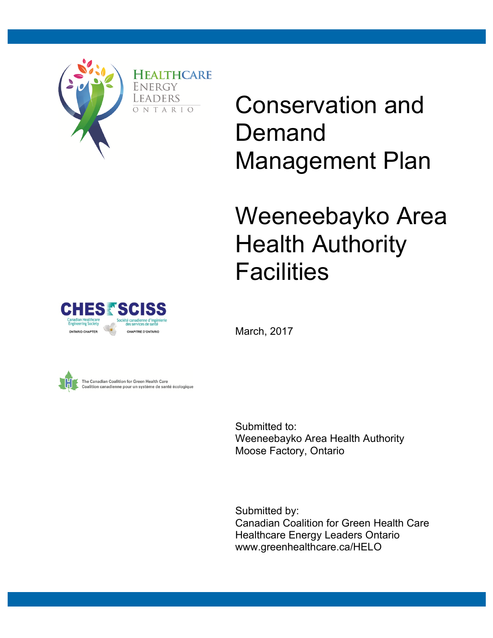

Conservation and Demand Management Plan

# Weeneebayko Area Health Authority **Facilities**

March, 2017





Submitted to: Weeneebayko Area Health Authority Moose Factory, Ontario

Submitted by: Canadian Coalition for Green Health Care Healthcare Energy Leaders Ontario www.greenhealthcare.ca/HELO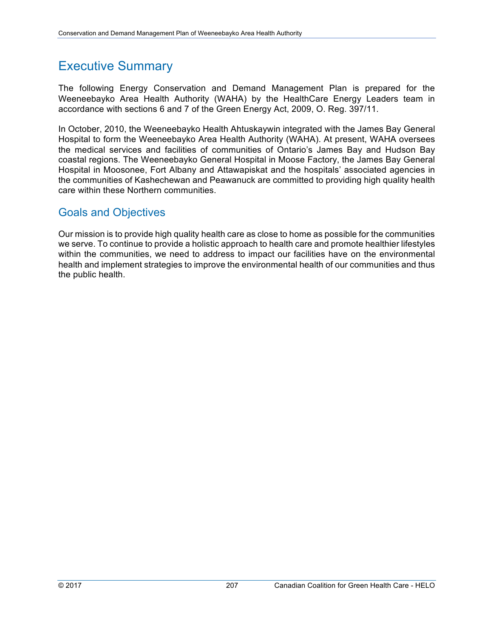### Executive Summary

The following Energy Conservation and Demand Management Plan is prepared for the Weeneebayko Area Health Authority (WAHA) by the HealthCare Energy Leaders team in accordance with sections 6 and 7 of the Green Energy Act, 2009, O. Reg. 397/11.

In October, 2010, the Weeneebayko Health Ahtuskaywin integrated with the James Bay General Hospital to form the Weeneebayko Area Health Authority (WAHA). At present, WAHA oversees the medical services and facilities of communities of Ontario's James Bay and Hudson Bay coastal regions. The Weeneebayko General Hospital in Moose Factory, the James Bay General Hospital in Moosonee, Fort Albany and Attawapiskat and the hospitals' associated agencies in the communities of Kashechewan and Peawanuck are committed to providing high quality health care within these Northern communities.

#### Goals and Objectives

Our mission is to provide high quality health care as close to home as possible for the communities we serve. To continue to provide a holistic approach to health care and promote healthier lifestyles within the communities, we need to address to impact our facilities have on the environmental health and implement strategies to improve the environmental health of our communities and thus the public health.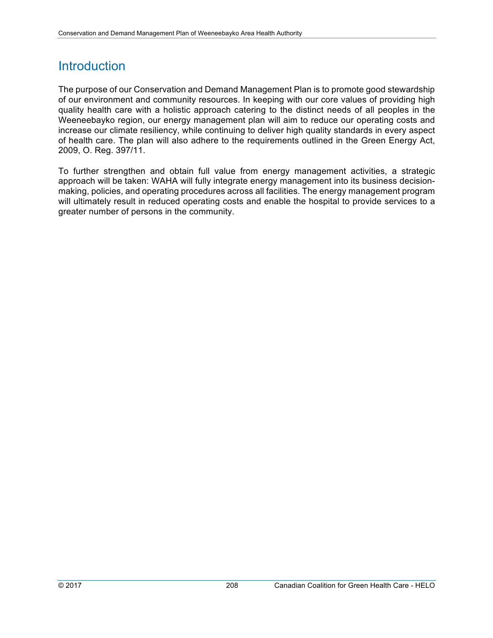### **Introduction**

The purpose of our Conservation and Demand Management Plan is to promote good stewardship of our environment and community resources. In keeping with our core values of providing high quality health care with a holistic approach catering to the distinct needs of all peoples in the Weeneebayko region, our energy management plan will aim to reduce our operating costs and increase our climate resiliency, while continuing to deliver high quality standards in every aspect of health care. The plan will also adhere to the requirements outlined in the Green Energy Act, 2009, O. Reg. 397/11.

To further strengthen and obtain full value from energy management activities, a strategic approach will be taken: WAHA will fully integrate energy management into its business decisionmaking, policies, and operating procedures across all facilities. The energy management program will ultimately result in reduced operating costs and enable the hospital to provide services to a greater number of persons in the community.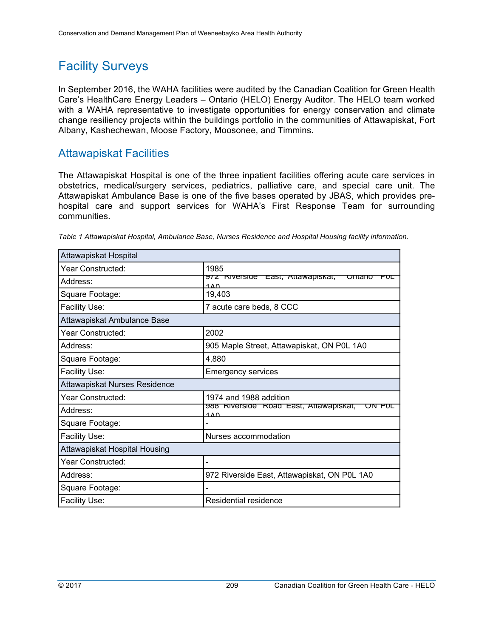# Facility Surveys

In September 2016, the WAHA facilities were audited by the Canadian Coalition for Green Health Care's HealthCare Energy Leaders – Ontario (HELO) Energy Auditor. The HELO team worked with a WAHA representative to investigate opportunities for energy conservation and climate change resiliency projects within the buildings portfolio in the communities of Attawapiskat, Fort Albany, Kashechewan, Moose Factory, Moosonee, and Timmins.

#### Attawapiskat Facilities

The Attawapiskat Hospital is one of the three inpatient facilities offering acute care services in obstetrics, medical/surgery services, pediatrics, palliative care, and special care unit. The Attawapiskat Ambulance Base is one of the five bases operated by JBAS, which provides prehospital care and support services for WAHA's First Response Team for surrounding communities.

| Attawapiskat Hospital         |                                                              |  |  |
|-------------------------------|--------------------------------------------------------------|--|--|
| Year Constructed:             | 1985                                                         |  |  |
| Address:                      | 972 Riverside East, Attawapiskat,<br>Ontario<br>PUL<br>1 A O |  |  |
| Square Footage:               | 19,403                                                       |  |  |
| Facility Use:                 | 7 acute care beds, 8 CCC                                     |  |  |
| Attawapiskat Ambulance Base   |                                                              |  |  |
| Year Constructed:             | 2002                                                         |  |  |
| Address:                      | 905 Maple Street, Attawapiskat, ON P0L 1A0                   |  |  |
| Square Footage:               | 4,880                                                        |  |  |
| Facility Use:                 | <b>Emergency services</b>                                    |  |  |
| Attawapiskat Nurses Residence |                                                              |  |  |
| Year Constructed:             | 1974 and 1988 addition                                       |  |  |
| Address:                      | yoo Riverside Road East, Attawapiskat,<br>ممه                |  |  |
| Square Footage:               |                                                              |  |  |
| Facility Use:                 | Nurses accommodation                                         |  |  |
|                               |                                                              |  |  |
| Attawapiskat Hospital Housing |                                                              |  |  |
| Year Constructed:             |                                                              |  |  |
| Address:                      | 972 Riverside East, Attawapiskat, ON P0L 1A0                 |  |  |
| Square Footage:               |                                                              |  |  |

*Table 1 Attawapiskat Hospital, Ambulance Base, Nurses Residence and Hospital Housing facility information.*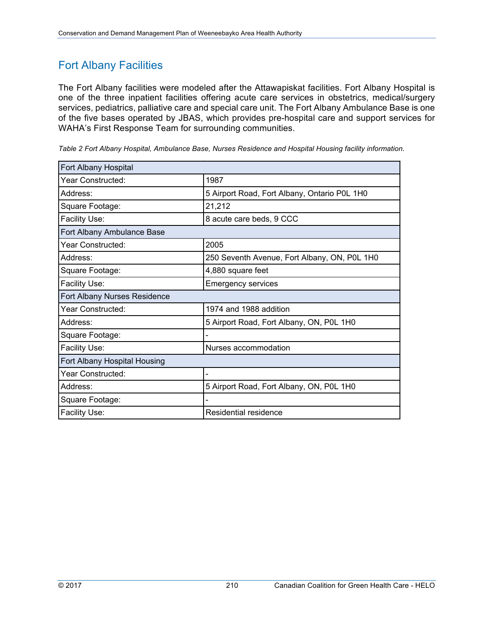### Fort Albany Facilities

The Fort Albany facilities were modeled after the Attawapiskat facilities. Fort Albany Hospital is one of the three inpatient facilities offering acute care services in obstetrics, medical/surgery services, pediatrics, palliative care and special care unit. The Fort Albany Ambulance Base is one of the five bases operated by JBAS, which provides pre-hospital care and support services for WAHA's First Response Team for surrounding communities.

| Fort Albany Hospital         |                                              |
|------------------------------|----------------------------------------------|
| Year Constructed:            | 1987                                         |
| Address:                     | 5 Airport Road, Fort Albany, Ontario P0L 1H0 |
| Square Footage:              | 21,212                                       |
| Facility Use:                | 8 acute care beds, 9 CCC                     |
| Fort Albany Ambulance Base   |                                              |
| Year Constructed:            | 2005                                         |
| Address:                     | 250 Seventh Avenue, Fort Albany, ON, P0L 1H0 |
| Square Footage:              | 4,880 square feet                            |
| Facility Use:                | <b>Emergency services</b>                    |
| Fort Albany Nurses Residence |                                              |
| Year Constructed:            | 1974 and 1988 addition                       |
| Address:                     | 5 Airport Road, Fort Albany, ON, P0L 1H0     |
| Square Footage:              |                                              |
| Facility Use:                | Nurses accommodation                         |
| Fort Albany Hospital Housing |                                              |
| Year Constructed:            |                                              |
| Address:                     | 5 Airport Road, Fort Albany, ON, P0L 1H0     |
| Square Footage:              |                                              |
| Facility Use:                | Residential residence                        |

*Table 2 Fort Albany Hospital, Ambulance Base, Nurses Residence and Hospital Housing facility information.*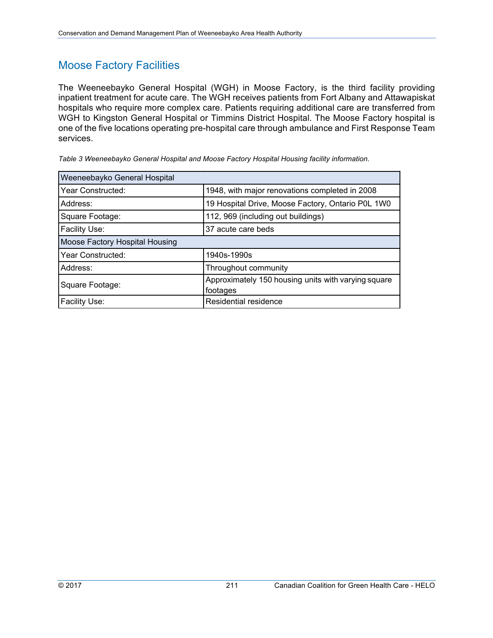### Moose Factory Facilities

The Weeneebayko General Hospital (WGH) in Moose Factory, is the third facility providing inpatient treatment for acute care. The WGH receives patients from Fort Albany and Attawapiskat hospitals who require more complex care. Patients requiring additional care are transferred from WGH to Kingston General Hospital or Timmins District Hospital. The Moose Factory hospital is one of the five locations operating pre-hospital care through ambulance and First Response Team services.

| Weeneebayko General Hospital   |                                                     |  |  |
|--------------------------------|-----------------------------------------------------|--|--|
| Year Constructed:              | 1948, with major renovations completed in 2008      |  |  |
| Address:                       | 19 Hospital Drive, Moose Factory, Ontario P0L 1W0   |  |  |
| Square Footage:                | 112, 969 (including out buildings)                  |  |  |
| <b>Facility Use:</b>           | 37 acute care beds                                  |  |  |
| Moose Factory Hospital Housing |                                                     |  |  |
| Year Constructed:              | 1940s-1990s                                         |  |  |
| Address:                       | Throughout community                                |  |  |
| Square Footage:                | Approximately 150 housing units with varying square |  |  |
|                                | footages                                            |  |  |
| Facility Use:                  | Residential residence                               |  |  |

*Table 3 Weeneebayko General Hospital and Moose Factory Hospital Housing facility information.*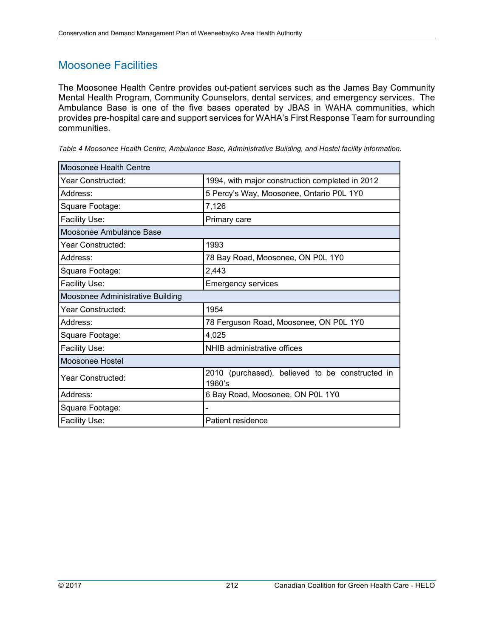### Moosonee Facilities

The Moosonee Health Centre provides out-patient services such as the James Bay Community Mental Health Program, Community Counselors, dental services, and emergency services. The Ambulance Base is one of the five bases operated by JBAS in WAHA communities, which provides pre-hospital care and support services for WAHA's First Response Team for surrounding communities.

| Table 4 Moosonee Health Centre, Ambulance Base, Administrative Building, and Hostel facility information. |  |  |
|-----------------------------------------------------------------------------------------------------------|--|--|
|                                                                                                           |  |  |
|                                                                                                           |  |  |

| Moosonee Health Centre           |                                                           |
|----------------------------------|-----------------------------------------------------------|
| Year Constructed:                | 1994, with major construction completed in 2012           |
| Address:                         | 5 Percy's Way, Moosonee, Ontario P0L 1Y0                  |
| Square Footage:                  | 7,126                                                     |
| Facility Use:                    | Primary care                                              |
| Moosonee Ambulance Base          |                                                           |
| Year Constructed:                | 1993                                                      |
| Address:                         | 78 Bay Road, Moosonee, ON P0L 1Y0                         |
| Square Footage:                  | 2,443                                                     |
| Facility Use:                    | <b>Emergency services</b>                                 |
| Moosonee Administrative Building |                                                           |
| Year Constructed:                | 1954                                                      |
| Address:                         | 78 Ferguson Road, Moosonee, ON P0L 1Y0                    |
| Square Footage:                  | 4,025                                                     |
| Facility Use:                    | NHIB administrative offices                               |
| Moosonee Hostel                  |                                                           |
| <b>Year Constructed:</b>         | 2010 (purchased), believed to be constructed in<br>1960's |
| Address:                         | 6 Bay Road, Moosonee, ON P0L 1Y0                          |
| Square Footage:                  |                                                           |
| Facility Use:                    | Patient residence                                         |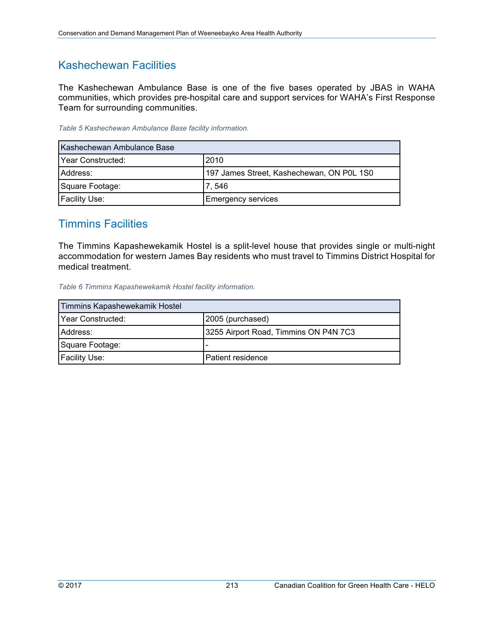#### Kashechewan Facilities

The Kashechewan Ambulance Base is one of the five bases operated by JBAS in WAHA communities, which provides pre-hospital care and support services for WAHA's First Response Team for surrounding communities.

*Table 5 Kashechewan Ambulance Base facility information.* 

| Kashechewan Ambulance Base |                                           |
|----------------------------|-------------------------------------------|
| Year Constructed:          | 2010                                      |
| Address:                   | 197 James Street, Kashechewan, ON P0L 1S0 |
| Square Footage:            | 7,546                                     |
| <b>Facility Use:</b>       | <b>Emergency services</b>                 |

#### Timmins Facilities

The Timmins Kapashewekamik Hostel is a split-level house that provides single or multi-night accommodation for western James Bay residents who must travel to Timmins District Hospital for medical treatment.

*Table 6 Timmins Kapashewekamik Hostel facility information.* 

| Timmins Kapashewekamik Hostel |                                       |
|-------------------------------|---------------------------------------|
| Year Constructed:             | 2005 (purchased)                      |
| IAddress:                     | 3255 Airport Road, Timmins ON P4N 7C3 |
| Square Footage:               | $\overline{\phantom{a}}$              |
| <b>Facility Use:</b>          | l Patient residence                   |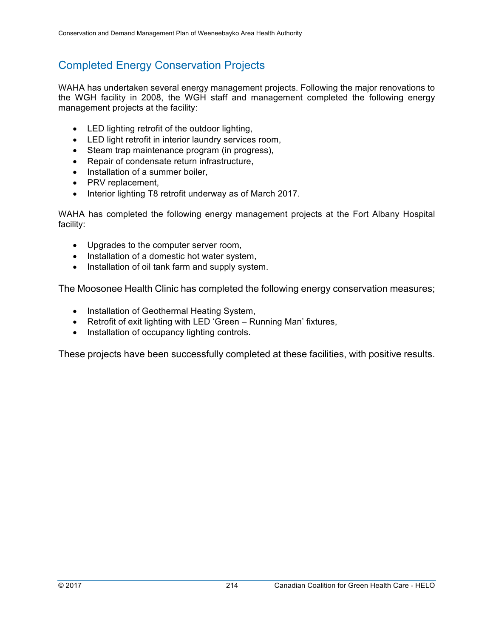### Completed Energy Conservation Projects

WAHA has undertaken several energy management projects. Following the major renovations to the WGH facility in 2008, the WGH staff and management completed the following energy management projects at the facility:

- LED lighting retrofit of the outdoor lighting,
- LED light retrofit in interior laundry services room,
- Steam trap maintenance program (in progress),
- Repair of condensate return infrastructure,
- Installation of a summer boiler.
- PRV replacement,
- Interior lighting T8 retrofit underway as of March 2017.

WAHA has completed the following energy management projects at the Fort Albany Hospital facility:

- Upgrades to the computer server room,
- Installation of a domestic hot water system,
- Installation of oil tank farm and supply system.

The Moosonee Health Clinic has completed the following energy conservation measures;

- Installation of Geothermal Heating System,
- Retrofit of exit lighting with LED 'Green Running Man' fixtures,
- Installation of occupancy lighting controls.

These projects have been successfully completed at these facilities, with positive results.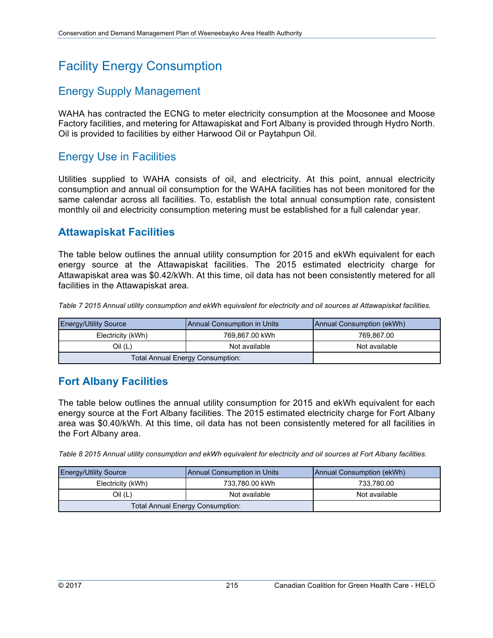# Facility Energy Consumption

#### Energy Supply Management

WAHA has contracted the ECNG to meter electricity consumption at the Moosonee and Moose Factory facilities, and metering for Attawapiskat and Fort Albany is provided through Hydro North. Oil is provided to facilities by either Harwood Oil or Paytahpun Oil.

#### Energy Use in Facilities

Utilities supplied to WAHA consists of oil, and electricity. At this point, annual electricity consumption and annual oil consumption for the WAHA facilities has not been monitored for the same calendar across all facilities. To, establish the total annual consumption rate, consistent monthly oil and electricity consumption metering must be established for a full calendar year.

#### **Attawapiskat Facilities**

The table below outlines the annual utility consumption for 2015 and ekWh equivalent for each energy source at the Attawapiskat facilities. The 2015 estimated electricity charge for Attawapiskat area was \$0.42/kWh. At this time, oil data has not been consistently metered for all facilities in the Attawapiskat area.

*Table 7 2015 Annual utility consumption and ekWh equivalent for electricity and oil sources at Attawapiskat facilities.*  Attawapiskat Facilties 

| <b>Energy/Utility Source</b>            | <b>Annual Consumption in Units</b><br>Annual Consumption (ekWh) |               |
|-----------------------------------------|-----------------------------------------------------------------|---------------|
| Electricity (kWh)                       | 769.867.00 kWh                                                  | 769.867.00    |
| Oil (L)<br>Not available                |                                                                 | Not available |
| <b>Total Annual Energy Consumption:</b> |                                                                 |               |

#### **Fort Albany Facilities**

The table below outlines the annual utility consumption for 2015 and ekWh equivalent for each energy source at the Fort Albany facilities. The 2015 estimated electricity charge for Fort Albany area was \$0.40/kWh. At this time, oil data has not been consistently metered for all facilities in the Fort Albany area.

*Table 8 2015 Annual utility consumption and ekWh equivalent for electricity and oil sources at Fort Albany facilities.*  Fort Albany Facilities

| <b>Energy/Utility Source</b><br><b>Annual Consumption in Units</b> |                | Annual Consumption (ekWh) |  |
|--------------------------------------------------------------------|----------------|---------------------------|--|
| Electricity (kWh)                                                  | 733,780.00 kWh | 733.780.00                |  |
| Oil (L)<br>Not available                                           |                | Not available             |  |
| <b>Total Annual Energy Consumption:</b>                            |                |                           |  |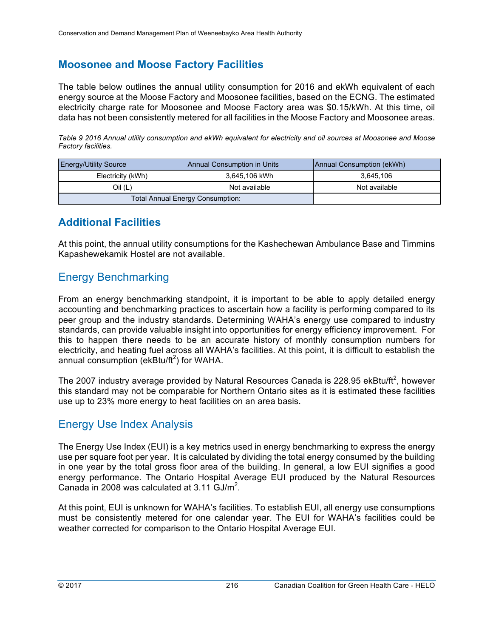#### **Moosonee and Moose Factory Facilities**

The table below outlines the annual utility consumption for 2016 and ekWh equivalent of each energy source at the Moose Factory and Moosonee facilities, based on the ECNG. The estimated electricity charge rate for Moosonee and Moose Factory area was \$0.15/kWh. At this time, oil data has not been consistently metered for all facilities in the Moose Factory and Moosonee areas.

*Table 9 2016 Annual utility consumption and ekWh equivalent for electricity and oil sources at Moosonee and Moose Factory facilities.*

| <b>Energy/Utility Source</b>            | <b>Annual Consumption (ekWh)</b><br>Annual Consumption in Units |               |
|-----------------------------------------|-----------------------------------------------------------------|---------------|
| Electricity (kWh)                       | 3.645.106 kWh                                                   | 3.645.106     |
| Oil (L)<br>Not available                |                                                                 | Not available |
| <b>Total Annual Energy Consumption:</b> |                                                                 |               |

#### **Additional Facilities**

At this point, the annual utility consumptions for the Kashechewan Ambulance Base and Timmins Kapashewekamik Hostel are not available.

#### Energy Benchmarking

From an energy benchmarking standpoint, it is important to be able to apply detailed energy accounting and benchmarking practices to ascertain how a facility is performing compared to its peer group and the industry standards. Determining WAHA's energy use compared to industry standards, can provide valuable insight into opportunities for energy efficiency improvement. For this to happen there needs to be an accurate history of monthly consumption numbers for electricity, and heating fuel across all WAHA's facilities. At this point, it is difficult to establish the annual consumption (ekBtu/ft<sup>2</sup>) for WAHA.

The 2007 industry average provided by Natural Resources Canada is 228.95 ekBtu/ft<sup>2</sup>, however this standard may not be comparable for Northern Ontario sites as it is estimated these facilities use up to 23% more energy to heat facilities on an area basis.

#### Energy Use Index Analysis

The Energy Use Index (EUI) is a key metrics used in energy benchmarking to express the energy use per square foot per year. It is calculated by dividing the total energy consumed by the building in one year by the total gross floor area of the building. In general, a low EUI signifies a good energy performance. The Ontario Hospital Average EUI produced by the Natural Resources Canada in 2008 was calculated at  $3.11$  GJ/m<sup>2</sup>.

At this point, EUI is unknown for WAHA's facilities. To establish EUI, all energy use consumptions must be consistently metered for one calendar year. The EUI for WAHA's facilities could be weather corrected for comparison to the Ontario Hospital Average EUI.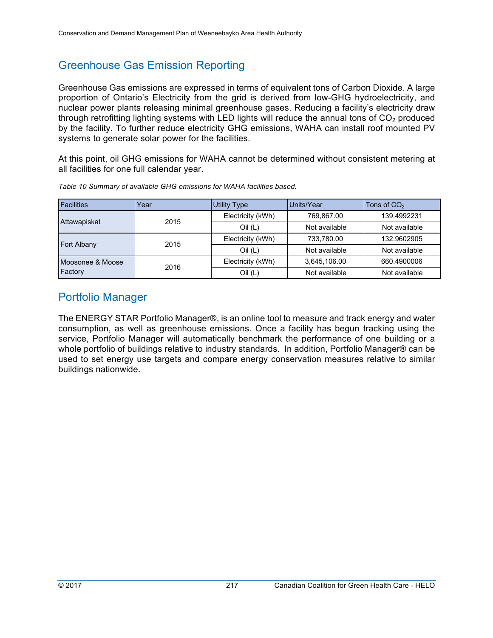### Greenhouse Gas Emission Reporting

Greenhouse Gas emissions are expressed in terms of equivalent tons of Carbon Dioxide. A large proportion of Ontario's Electricity from the grid is derived from low-GHG hydroelectricity, and nuclear power plants releasing minimal greenhouse gases. Reducing a facility's electricity draw through retrofitting lighting systems with LED lights will reduce the annual tons of  $CO<sub>2</sub>$  produced by the facility. To further reduce electricity GHG emissions, WAHA can install roof mounted PV systems to generate solar power for the facilities.

At this point, oil GHG emissions for WAHA cannot be determined without consistent metering at all facilities for one full calendar year.

| <b>Facilities</b> | Year | <b>Utility Type</b> | Units/Year    | Tons of $CO2$ |  |
|-------------------|------|---------------------|---------------|---------------|--|
|                   | 2015 | Electricity (kWh)   | 769.867.00    | 139.4992231   |  |
| Attawapiskat      |      | Oil(L)              | Not available | Not available |  |
| Fort Albany       | 2015 | Electricity (kWh)   | 733.780.00    | 132.9602905   |  |
|                   |      | Oil(L)              | Not available | Not available |  |
| Moosonee & Moose  | 2016 | Electricity (kWh)   | 3.645.106.00  | 660.4900006   |  |
| Factory           |      | Oil(L)              | Not available | Not available |  |

*Table 10 Summary of available GHG emissions for WAHA facilities based.* 

#### Portfolio Manager

The ENERGY STAR Portfolio Manager®, is an online tool to measure and track energy and water consumption, as well as greenhouse emissions. Once a facility has begun tracking using the service, Portfolio Manager will automatically benchmark the performance of one building or a whole portfolio of buildings relative to industry standards. In addition, Portfolio Manager® can be used to set energy use targets and compare energy conservation measures relative to similar buildings nationwide.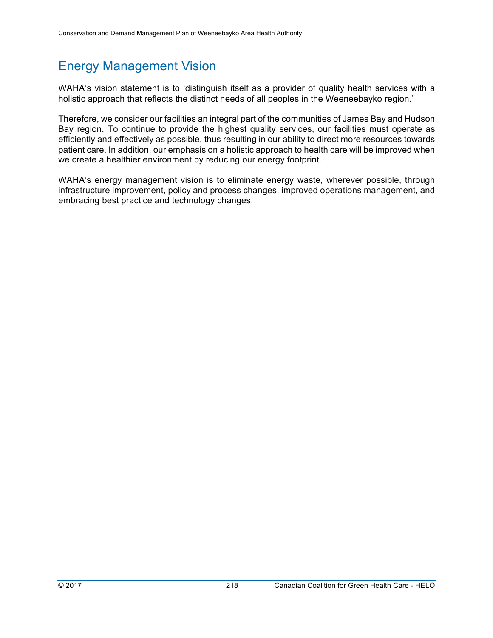# Energy Management Vision

WAHA's vision statement is to 'distinguish itself as a provider of quality health services with a holistic approach that reflects the distinct needs of all peoples in the Weeneebayko region.'

Therefore, we consider our facilities an integral part of the communities of James Bay and Hudson Bay region. To continue to provide the highest quality services, our facilities must operate as efficiently and effectively as possible, thus resulting in our ability to direct more resources towards patient care. In addition, our emphasis on a holistic approach to health care will be improved when we create a healthier environment by reducing our energy footprint.

WAHA's energy management vision is to eliminate energy waste, wherever possible, through infrastructure improvement, policy and process changes, improved operations management, and embracing best practice and technology changes.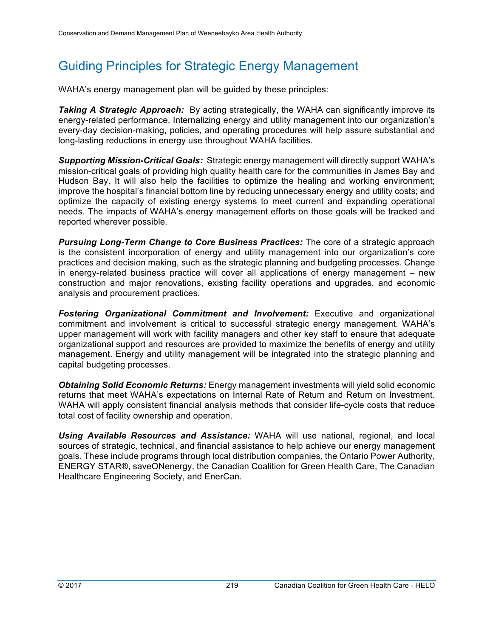# Guiding Principles for Strategic Energy Management

WAHA's energy management plan will be guided by these principles:

**Taking A Strategic Approach:** By acting strategically, the WAHA can significantly improve its energy-related performance. Internalizing energy and utility management into our organization's every-day decision-making, policies, and operating procedures will help assure substantial and long-lasting reductions in energy use throughout WAHA facilities.

*Supporting Mission-Critical Goals:*Strategic energy management will directly support WAHA's mission-critical goals of providing high quality health care for the communities in James Bay and Hudson Bay. It will also help the facilities to optimize the healing and working environment; improve the hospital's financial bottom line by reducing unnecessary energy and utility costs; and optimize the capacity of existing energy systems to meet current and expanding operational needs. The impacts of WAHA's energy management efforts on those goals will be tracked and reported wherever possible.

*Pursuing Long-Term Change to Core Business Practices:* The core of a strategic approach is the consistent incorporation of energy and utility management into our organization's core practices and decision making, such as the strategic planning and budgeting processes. Change in energy-related business practice will cover all applications of energy management – new construction and major renovations, existing facility operations and upgrades, and economic analysis and procurement practices.

*Fostering Organizational Commitment and Involvement:* Executive and organizational commitment and involvement is critical to successful strategic energy management. WAHA's upper management will work with facility managers and other key staff to ensure that adequate organizational support and resources are provided to maximize the benefits of energy and utility management. Energy and utility management will be integrated into the strategic planning and capital budgeting processes.

*Obtaining Solid Economic Returns:* Energy management investments will yield solid economic returns that meet WAHA's expectations on Internal Rate of Return and Return on Investment. WAHA will apply consistent financial analysis methods that consider life-cycle costs that reduce total cost of facility ownership and operation.

*Using Available Resources and Assistance:* WAHA will use national, regional, and local sources of strategic, technical, and financial assistance to help achieve our energy management goals. These include programs through local distribution companies, the Ontario Power Authority, ENERGY STAR®, saveONenergy, the Canadian Coalition for Green Health Care, The Canadian Healthcare Engineering Society, and EnerCan.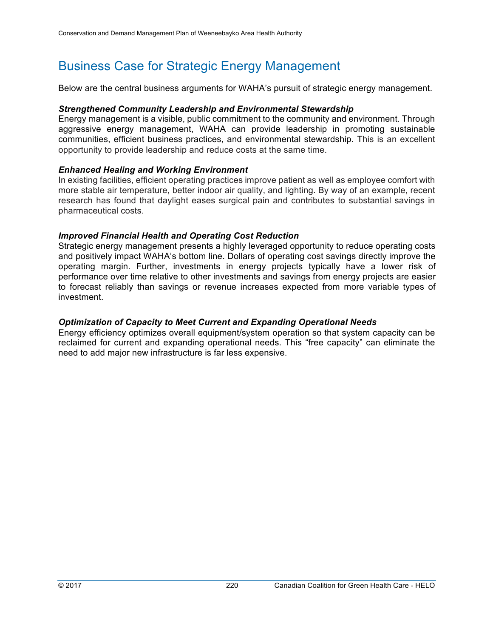# Business Case for Strategic Energy Management

Below are the central business arguments for WAHA's pursuit of strategic energy management.

#### *Strengthened Community Leadership and Environmental Stewardship*

Energy management is a visible, public commitment to the community and environment. Through aggressive energy management, WAHA can provide leadership in promoting sustainable communities, efficient business practices, and environmental stewardship. This is an excellent opportunity to provide leadership and reduce costs at the same time.

#### *Enhanced Healing and Working Environment*

In existing facilities, efficient operating practices improve patient as well as employee comfort with more stable air temperature, better indoor air quality, and lighting. By way of an example, recent research has found that daylight eases surgical pain and contributes to substantial savings in pharmaceutical costs.

#### *Improved Financial Health and Operating Cost Reduction*

Strategic energy management presents a highly leveraged opportunity to reduce operating costs and positively impact WAHA's bottom line. Dollars of operating cost savings directly improve the operating margin. Further, investments in energy projects typically have a lower risk of performance over time relative to other investments and savings from energy projects are easier to forecast reliably than savings or revenue increases expected from more variable types of investment.

#### *Optimization of Capacity to Meet Current and Expanding Operational Needs*

Energy efficiency optimizes overall equipment/system operation so that system capacity can be reclaimed for current and expanding operational needs. This "free capacity" can eliminate the need to add major new infrastructure is far less expensive.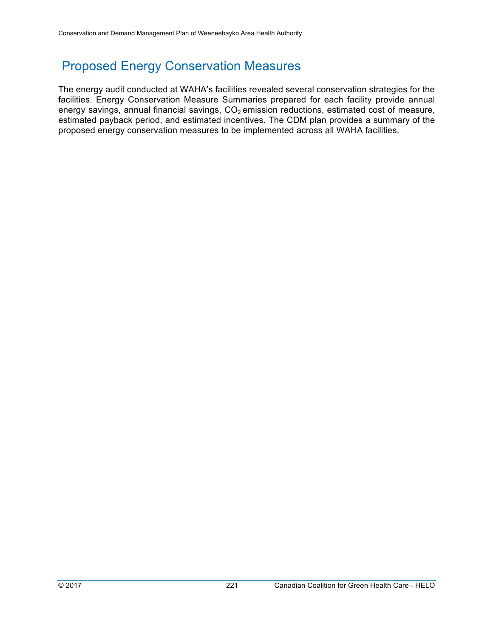# Proposed Energy Conservation Measures

The energy audit conducted at WAHA's facilities revealed several conservation strategies for the facilities. Energy Conservation Measure Summaries prepared for each facility provide annual energy savings, annual financial savings,  $CO<sub>2</sub>$  emission reductions, estimated cost of measure, estimated payback period, and estimated incentives. The CDM plan provides a summary of the proposed energy conservation measures to be implemented across all WAHA facilities.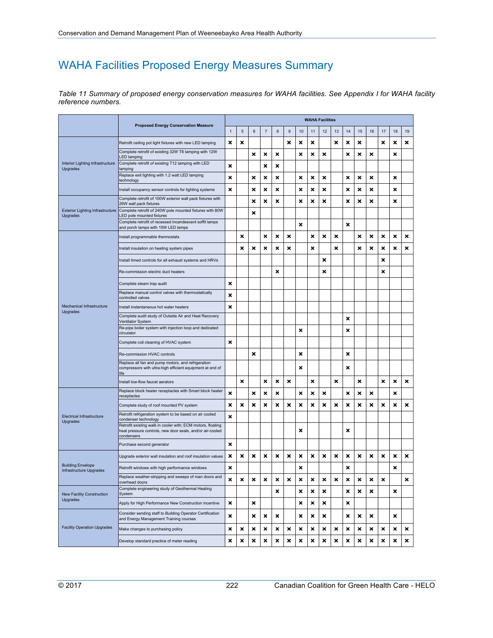### WAHA Facilities Proposed Energy Measures Summary

| Table 11 Summary of proposed energy conservation measures for WAHA facilities. See Appendix I for WAHA facility |  |  |  |
|-----------------------------------------------------------------------------------------------------------------|--|--|--|
| reference numbers.                                                                                              |  |  |  |

|                                                     | <b>Proposed Energy Conservation Measure</b>                                                                                            |   |            |         |                |   |       |    |    | <b>WAHA Facilities</b> |                           |    |    |                           |                           |    |    |
|-----------------------------------------------------|----------------------------------------------------------------------------------------------------------------------------------------|---|------------|---------|----------------|---|-------|----|----|------------------------|---------------------------|----|----|---------------------------|---------------------------|----|----|
|                                                     |                                                                                                                                        |   | $\sqrt{5}$ | $\,6\,$ | $\overline{7}$ | 8 | $9\,$ | 10 | 11 | 12                     | 13                        | 14 | 15 | 16                        | 17                        | 18 | 19 |
| Interior Lighting Infrastructure<br>Upgrades        | Retrofit ceiling pot light fixtures with new LED lamping                                                                               | × | ×          |         |                |   | ×     | ×  | ×  |                        | ×                         | ×  | ×  |                           | ×                         | ×  | ×  |
|                                                     | Complete retrofit of existing 32W T8 lamping with 12W<br><b>LED lamping</b>                                                            |   |            | ×       | ×              | × |       | ×  | ×  | ×                      |                           | ×  | ×  | $\boldsymbol{\mathsf{x}}$ |                           | ×  |    |
|                                                     | Complete retrofit of existing T12 lamping with LED<br>lamping                                                                          | × |            |         | ×              | × |       |    |    |                        |                           |    |    |                           |                           |    |    |
|                                                     | Replace exit lighting with 1.2 watt LED lamping<br>technology                                                                          | × |            | ×       | ×              | × |       | ×  | ×  | ×                      |                           | ×  | ×  | ×                         |                           | ×  |    |
|                                                     | Install occupancy sensor controls for lighting systems                                                                                 | × |            | ×       | ×              | × |       | ×  | ×  | ×                      |                           | ×  | ×  | ×                         |                           | ×  |    |
| <b>Exterior Lighting Infrastructure</b><br>Upgrades | Complete retrofit of 100W exterior wall pack fixtures with<br>26W wall pack fixtures                                                   |   |            | ×       | ×              | × |       | ×  | ×  | ×                      |                           | ×  | ×  | ×                         |                           | ×  |    |
|                                                     | Complete retrofit of 240W pole mounted fixtures with 80W<br>LED pole mounted fixtures                                                  |   |            | ×       |                |   |       |    |    |                        |                           |    |    |                           |                           |    |    |
|                                                     | Complete retrofit of recessed incandescent soffit lamps<br>and porch lamps with 15W LED lamps                                          |   |            |         |                |   |       | ×  |    |                        |                           | ×  |    |                           |                           |    |    |
| Mechanical Infrastructure<br>Upgrades               | Install programmable thermostats                                                                                                       |   | ×          |         | ×              | × | ×     |    | ×  | ×                      | $\boldsymbol{\mathsf{x}}$ |    | ×  | ×                         | ×                         | ×  | ×  |
|                                                     | Install insulation on heating system pipes                                                                                             |   | ×          | ×       | ×              | × | ×     |    | ×  |                        | ×                         |    | ×  | ×                         | $\boldsymbol{\mathsf{x}}$ | ×  | ×  |
|                                                     | Install timed controls for all exhaust systems and HRVs                                                                                |   |            |         |                |   |       |    |    | ×                      |                           |    |    |                           | $\boldsymbol{\mathsf{x}}$ |    |    |
|                                                     | Re-commission electric duct heaters                                                                                                    |   |            |         |                | × |       |    |    | ×                      |                           |    |    |                           | ×                         |    |    |
|                                                     | Complete steam trap audit                                                                                                              | × |            |         |                |   |       |    |    |                        |                           |    |    |                           |                           |    |    |
|                                                     | Replace manual control valves with thermostatically<br>controlled valves                                                               | × |            |         |                |   |       |    |    |                        |                           |    |    |                           |                           |    |    |
|                                                     | Install instantaneous hot water heaters                                                                                                | × |            |         |                |   |       |    |    |                        |                           |    |    |                           |                           |    |    |
|                                                     | Complete audit study of Outside Air and Heat Recovery<br>Ventilator System                                                             |   |            |         |                |   |       |    |    |                        |                           | ×  |    |                           |                           |    |    |
|                                                     | Re-pipe boiler system with injection loop and dedicated<br>circulator                                                                  |   |            |         |                |   |       | ×  |    |                        |                           | ×  |    |                           |                           |    |    |
|                                                     | Complete coil cleaning of HVAC system                                                                                                  | × |            |         |                |   |       |    |    |                        |                           |    |    |                           |                           |    |    |
|                                                     | Re-commission HVAC controls                                                                                                            |   |            | ×       |                |   |       | ×  |    |                        |                           | ×  |    |                           |                           |    |    |
|                                                     | Replace all fan and pump motors, and refrigeration<br>compressors with ultra-high efficient equipment at end of<br>life                |   |            |         |                |   |       | ×  |    |                        |                           | ×  |    |                           |                           |    |    |
|                                                     | Install low-flow faucet aerators                                                                                                       |   | ×          |         | ×              | × | ×     |    | ×  |                        | ×                         |    | ×  |                           | $\boldsymbol{\mathsf{x}}$ | ×  | ×  |
| <b>Electrical Infrastructure</b><br>Upgrades        | Replace block heater receptacles with Smart block heater<br>receptacles                                                                | × |            | ×       | ×              | × |       | ×  | ×  | ×                      |                           | ×  | ×  | ×                         |                           | ×  |    |
|                                                     | Complete study of roof mounted PV system                                                                                               | × | ×          | ×       | ×              | × | ×     | ×  | ×  | ×                      | ×                         | ×  | ×  | ×                         | $\boldsymbol{\mathsf{x}}$ | ×  | ×  |
|                                                     | Retrofit refrigeration system to be based on air cooled<br>condenser technology                                                        | × |            |         |                |   |       |    |    |                        |                           |    |    |                           |                           |    |    |
|                                                     | Retrofit existing walk in cooler with; ECM motors, floating<br>heat pressure controls, new door seals, and/or air-cooled<br>condensers |   |            |         |                |   |       | ×  |    |                        |                           | ×  |    |                           |                           |    |    |
|                                                     | Purchase second generator                                                                                                              | × |            |         |                |   |       |    |    |                        |                           |    |    |                           |                           |    |    |
| <b>Building Envelope</b><br>Infrastructure Upgrades | Upgrade exterior wall insulation and roof insulation values                                                                            | × | ×          | ×       | ×              | × | ×     | ×  | ×  | ×                      | ×                         | ×  | ×  | ×                         | ×                         | ×  | ×  |
|                                                     | Retrofit windows with high performance windows                                                                                         | × |            |         |                |   |       | ×  |    |                        |                           | ×  |    |                           |                           | ×  |    |
|                                                     | Replace weather-stripping and sweeps of man doors and<br>overhead doors                                                                | × | ×          | ×       | ×              | × | ×     | ×  | ×  | ×                      | ×                         | ×  | ×  | ×                         | ×                         |    | ×  |
| New Facility Construction                           | Complete engineering study of Geothermal Heating<br>System                                                                             |   |            |         |                | × |       | ×  | ×  | ×                      |                           | ×  | ×  | ×                         |                           | ×  |    |
| Upgrades                                            | Apply for High Performance New Construction incentive                                                                                  | × |            | ×       |                |   |       | ×  | ×  | ×                      |                           | ×  |    |                           |                           |    |    |
| <b>Facility Operation Upgrades</b>                  | Consider sending staff to Building Operator Certification<br>and Energy Management Training courses                                    | × |            | ×       | ×              | × |       | ×  | ×  | ×                      |                           | ×  | ×  | ×                         |                           | ×  |    |
|                                                     | Make changes to purchasing policy                                                                                                      | × | ×          | ×       | ×              | × | ×     | ×  | ×  | ×                      | ×                         | ×  | ×  | ×                         | ×                         | ×  | ×  |
|                                                     | Develop standard practice of meter reading                                                                                             | × | ×          | ×       | ×              | × | ×     | ×  | ×  | ×                      | ×                         | ×  | ×  | $\pmb{\times}$            | ×                         | ×  | ×  |